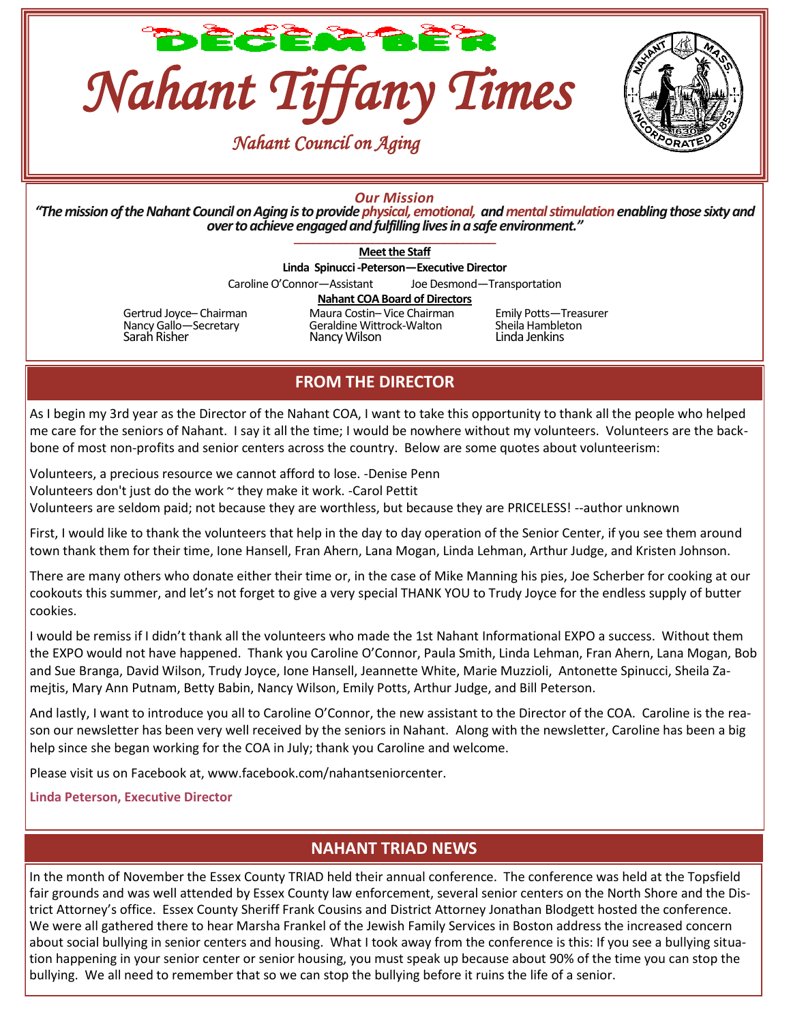





### *Our Mission*

*"The mission of the Nahant Council on Aging is to providephysical, emotional, andmental stimulation enabling those sixty and over to achieve engaged and fulfilling lives in a safe environment."* \_\_\_\_\_\_\_\_\_\_\_\_\_\_\_\_\_\_\_\_\_\_\_\_\_\_\_\_\_\_\_

**Meet the Staff**

**Linda Spinucci -Peterson—Executive Director**

Caroline O'Connor—Assistant Joe Desmond—Transportation

#### **Nahant COA Board of Directors**

Gertrud Joyce– Chairman Maura Costin– Vice Chairman Emily Potts— Treasurer<br>
Nancy Gallo—Secretary Geraldine Wittrock-Walton Sheila Hambleton Nancy Gallo—Secretary Geraldine Wittrock-Walton Sheila Hambleton Nancy Wilson

## **FROM THE DIRECTOR**

As I begin my 3rd year as the Director of the Nahant COA, I want to take this opportunity to thank all the people who helped me care for the seniors of Nahant. I say it all the time; I would be nowhere without my volunteers. Volunteers are the backbone of most non-profits and senior centers across the country. Below are some quotes about volunteerism:

Volunteers, a precious resource we cannot afford to lose. -Denise Penn Volunteers don't just do the work ~ they make it work. -Carol Pettit Volunteers are seldom paid; not because they are worthless, but because they are PRICELESS! --author unknown

First, I would like to thank the volunteers that help in the day to day operation of the Senior Center, if you see them around town thank them for their time, Ione Hansell, Fran Ahern, Lana Mogan, Linda Lehman, Arthur Judge, and Kristen Johnson.

There are many others who donate either their time or, in the case of Mike Manning his pies, Joe Scherber for cooking at our cookouts this summer, and let's not forget to give a very special THANK YOU to Trudy Joyce for the endless supply of butter cookies.

I would be remiss if I didn't thank all the volunteers who made the 1st Nahant Informational EXPO a success. Without them the EXPO would not have happened. Thank you Caroline O'Connor, Paula Smith, Linda Lehman, Fran Ahern, Lana Mogan, Bob and Sue Branga, David Wilson, Trudy Joyce, Ione Hansell, Jeannette White, Marie Muzzioli, Antonette Spinucci, Sheila Zamejtis, Mary Ann Putnam, Betty Babin, Nancy Wilson, Emily Potts, Arthur Judge, and Bill Peterson.

And lastly, I want to introduce you all to Caroline O'Connor, the new assistant to the Director of the COA. Caroline is the reason our newsletter has been very well received by the seniors in Nahant. Along with the newsletter, Caroline has been a big help since she began working for the COA in July; thank you Caroline and welcome.

Please visit us on Facebook at, www.facebook.com/nahantseniorcenter.

**Linda Peterson, Executive Director**

### **NAHANT TRIAD NEWS**

In the month of November the Essex County TRIAD held their annual conference. The conference was held at the Topsfield fair grounds and was well attended by Essex County law enforcement, several senior centers on the North Shore and the District Attorney's office. Essex County Sheriff Frank Cousins and District Attorney Jonathan Blodgett hosted the conference. We were all gathered there to hear Marsha Frankel of the Jewish Family Services in Boston address the increased concern about social bullying in senior centers and housing. What I took away from the conference is this: If you see a bullying situation happening in your senior center or senior housing, you must speak up because about 90% of the time you can stop the bullying. We all need to remember that so we can stop the bullying before it ruins the life of a senior.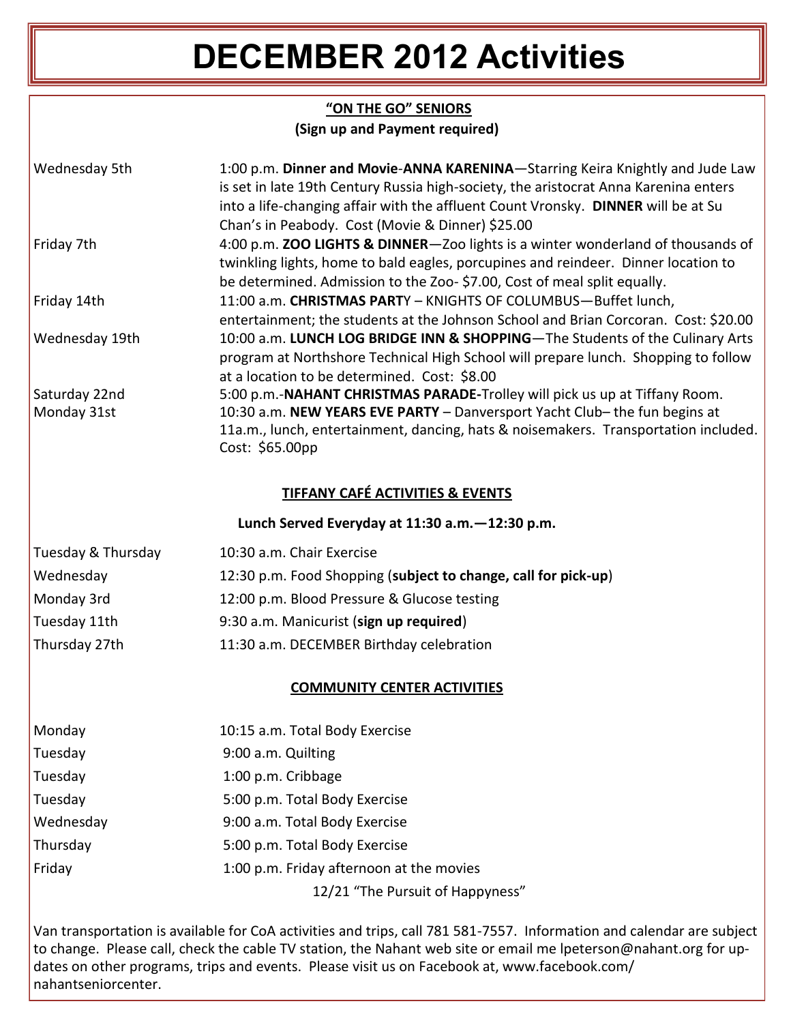# **DECEMBER 2012 Activities**

### **"ON THE GO" SENIORS (Sign up and Payment required)**

| Wednesday 5th                                                                 | 1:00 p.m. Dinner and Movie-ANNA KARENINA-Starring Keira Knightly and Jude Law                                                                                     |  |  |  |  |  |
|-------------------------------------------------------------------------------|-------------------------------------------------------------------------------------------------------------------------------------------------------------------|--|--|--|--|--|
|                                                                               | is set in late 19th Century Russia high-society, the aristocrat Anna Karenina enters                                                                              |  |  |  |  |  |
|                                                                               | into a life-changing affair with the affluent Count Vronsky. DINNER will be at Su<br>Chan's in Peabody. Cost (Movie & Dinner) \$25.00                             |  |  |  |  |  |
| Friday 7th                                                                    | 4:00 p.m. ZOO LIGHTS & DINNER-Zoo lights is a winter wonderland of thousands of                                                                                   |  |  |  |  |  |
|                                                                               | twinkling lights, home to bald eagles, porcupines and reindeer. Dinner location to                                                                                |  |  |  |  |  |
|                                                                               | be determined. Admission to the Zoo- \$7.00, Cost of meal split equally.                                                                                          |  |  |  |  |  |
| Friday 14th                                                                   | 11:00 a.m. CHRISTMAS PARTY - KNIGHTS OF COLUMBUS-Buffet lunch,                                                                                                    |  |  |  |  |  |
|                                                                               | entertainment; the students at the Johnson School and Brian Corcoran. Cost: \$20.00                                                                               |  |  |  |  |  |
| Wednesday 19th                                                                | 10:00 a.m. LUNCH LOG BRIDGE INN & SHOPPING-The Students of the Culinary Arts                                                                                      |  |  |  |  |  |
|                                                                               | program at Northshore Technical High School will prepare lunch. Shopping to follow                                                                                |  |  |  |  |  |
|                                                                               | at a location to be determined. Cost: \$8.00                                                                                                                      |  |  |  |  |  |
| Saturday 22nd                                                                 | 5:00 p.m.-NAHANT CHRISTMAS PARADE-Trolley will pick us up at Tiffany Room.                                                                                        |  |  |  |  |  |
| Monday 31st                                                                   | 10:30 a.m. NEW YEARS EVE PARTY - Danversport Yacht Club- the fun begins at<br>11a.m., lunch, entertainment, dancing, hats & noisemakers. Transportation included. |  |  |  |  |  |
|                                                                               | Cost: \$65.00pp                                                                                                                                                   |  |  |  |  |  |
|                                                                               |                                                                                                                                                                   |  |  |  |  |  |
| <b>TIFFANY CAFÉ ACTIVITIES &amp; EVENTS</b>                                   |                                                                                                                                                                   |  |  |  |  |  |
| Lunch Served Everyday at 11:30 a.m. - 12:30 p.m.                              |                                                                                                                                                                   |  |  |  |  |  |
| Tuesday & Thursday                                                            | 10:30 a.m. Chair Exercise                                                                                                                                         |  |  |  |  |  |
| Wednesday                                                                     | 12:30 p.m. Food Shopping (subject to change, call for pick-up)                                                                                                    |  |  |  |  |  |
| Monday 3rd                                                                    | 12:00 p.m. Blood Pressure & Glucose testing                                                                                                                       |  |  |  |  |  |
| Tuesday 11th                                                                  | 9:30 a.m. Manicurist (sign up required)                                                                                                                           |  |  |  |  |  |
| Thursday 27th<br>11:30 a.m. DECEMBER Birthday celebration                     |                                                                                                                                                                   |  |  |  |  |  |
| <b>COMMUNITY CENTER ACTIVITIES</b>                                            |                                                                                                                                                                   |  |  |  |  |  |
| $\mathbf{A}$ $\mathbf{A}$ $\mathbf{A}$ $\mathbf{A}$ $\mathbf{A}$ $\mathbf{A}$ |                                                                                                                                                                   |  |  |  |  |  |
|                                                                               | $\mathbf{A} \cap \mathbf{A}$ $\mathbf{F}$ . $\mathbf{F}$ . $\mathbf{F}$ . $\mathbf{F}$ . $\mathbf{F}$ . $\mathbf{F}$ . $\mathbf{F}$ . $\mathbf{F}$                |  |  |  |  |  |

| Monday    | 10:15 a.m. Total Body Exercise           |
|-----------|------------------------------------------|
| Tuesday   | 9:00 a.m. Quilting                       |
| Tuesday   | 1:00 p.m. Cribbage                       |
| Tuesday   | 5:00 p.m. Total Body Exercise            |
| Wednesday | 9:00 a.m. Total Body Exercise            |
| Thursday  | 5:00 p.m. Total Body Exercise            |
| Friday    | 1:00 p.m. Friday afternoon at the movies |
|           | 12/21 "The Pursuit of Happyness"         |

Van transportation is available for CoA activities and trips, call 781 581-7557. Information and calendar are subject to change. Please call, check the cable TV station, the Nahant web site or email me lpeterson@nahant.org for updates on other programs, trips and events. Please visit us on Facebook at, www.facebook.com/ nahantseniorcenter.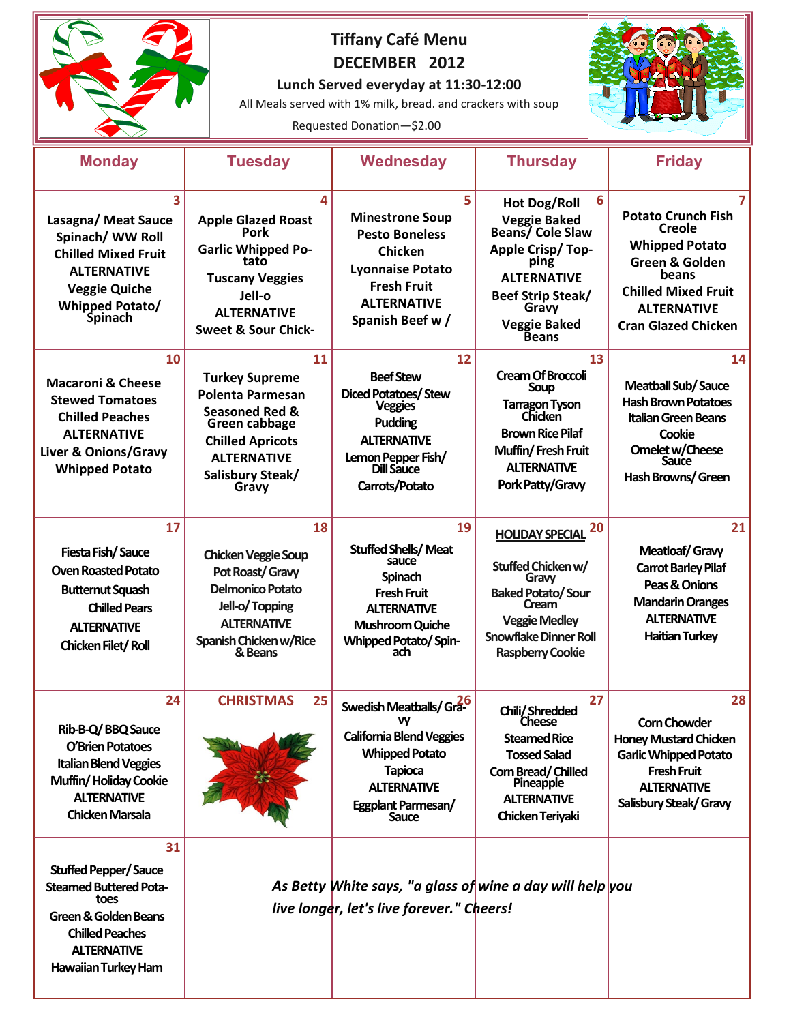|                                                                                                                                                                                      |                                                                                                                                                                                    | <b>Tiffany Café Menu</b><br>DECEMBER 2012<br>Lunch Served everyday at 11:30-12:00<br>All Meals served with 1% milk, bread. and crackers with soup<br>Requested Donation-\$2.00 |                                                                                                                                                                                                           |                                                                                                                                                                           |
|--------------------------------------------------------------------------------------------------------------------------------------------------------------------------------------|------------------------------------------------------------------------------------------------------------------------------------------------------------------------------------|--------------------------------------------------------------------------------------------------------------------------------------------------------------------------------|-----------------------------------------------------------------------------------------------------------------------------------------------------------------------------------------------------------|---------------------------------------------------------------------------------------------------------------------------------------------------------------------------|
| <b>Monday</b>                                                                                                                                                                        | <b>Tuesday</b>                                                                                                                                                                     | <b>Wednesday</b>                                                                                                                                                               | <b>Thursday</b>                                                                                                                                                                                           | <b>Friday</b>                                                                                                                                                             |
| 3<br>Lasagna/ Meat Sauce<br>Spinach/ WW Roll<br><b>Chilled Mixed Fruit</b><br><b>ALTERNATIVE</b><br><b>Veggie Quiche</b><br><b>Whipped Potato/</b><br><b>Spinach</b>                 | 4<br><b>Apple Glazed Roast</b><br>Pork<br><b>Garlic Whipped Po-</b><br>tato<br><b>Tuscany Veggies</b><br>Jell-o<br><b>ALTERNATIVE</b><br><b>Sweet &amp; Sour Chick-</b>            | 5<br><b>Minestrone Soup</b><br><b>Pesto Boneless</b><br><b>Chicken</b><br><b>Lyonnaise Potato</b><br><b>Fresh Fruit</b><br><b>ALTERNATIVE</b><br>Spanish Beef w /              | 6<br><b>Hot Dog/Roll</b><br><b>Veggie Baked<br/>Beans/ Cole Slaw</b><br><b>Apple Crisp/Top-</b><br>ping<br><b>ALTERNATIVE</b><br><b>Beef Strip Steak/</b><br>Gravy<br><b>Veggie Baked</b><br><b>Beans</b> | <b>Potato Crunch Fish</b><br>Creole<br><b>Whipped Potato</b><br>Green & Golden<br>beans<br><b>Chilled Mixed Fruit</b><br><b>ALTERNATIVE</b><br><b>Cran Glazed Chicken</b> |
| 10<br><b>Macaroni &amp; Cheese</b><br><b>Stewed Tomatoes</b><br><b>Chilled Peaches</b><br><b>ALTERNATIVE</b><br>Liver & Onions/Gravy<br><b>Whipped Potato</b>                        | 11<br><b>Turkey Supreme</b><br><b>Polenta Parmesan</b><br><b>Seasoned Red &amp;</b><br>Green cabbage<br><b>Chilled Apricots</b><br><b>ALTERNATIVE</b><br>Salisbury Steak/<br>Gravy | 12<br><b>Beef Stew</b><br><b>Diced Potatoes/Stew</b><br><b>Veggies</b><br><b>Pudding</b><br><b>ALTERNATIVE</b><br>Lemon Pepper Fish/<br><b>Dill Sauce</b><br>Carrots/Potato    | 13<br><b>Cream Of Broccoli</b><br><b>Soup</b><br><b>Tarragon Tyson</b><br>Chicken<br><b>Brown Rice Pilaf</b><br>Muffin/Fresh Fruit<br><b>ALTERNATIVE</b><br>Pork Patty/Gravy                              | 14<br><b>Meatball Sub/Sauce</b><br><b>Hash Brown Potatoes</b><br><b>Italian Green Beans</b><br>Cookie<br>Omelet w/Cheese<br>Sauce<br>Hash Browns/Green                    |
| 17<br>Fiesta Fish/Sauce<br><b>Oven Roasted Potato</b><br><b>Butternut Squash</b><br><b>Chilled Pears</b><br><b>ALTERNATIVE</b><br>Chicken Filet/Roll                                 | 18<br><b>Chicken Veggie Soup</b><br>Pot Roast/ Gravy<br>Delmonico Potato<br>Jell-o/Topping<br><b>ALTERNATIVE</b><br>Spanish Chicken w/Rice<br>& Beans                              | 19<br><b>Stuffed Shells/Meat</b><br>sauce<br>Spinach<br><b>Fresh Fruit</b><br><b>ALTERNATIVE</b><br><b>Mushroom Quiche</b><br><b>Whipped Potato/Spin-</b><br>ach               | 20<br><b>HOLIDAY SPECIAL</b><br>Stuffed Chicken w/<br>Graw<br><b>Baked Potato/Sour</b><br>Cream<br><b>Veggie Medley</b><br><b>Snowflake Dinner Roll</b><br><b>Raspberry Cookie</b>                        | 21<br>Meatloaf/Gravy<br><b>Carrot Barley Pilaf</b><br>Peas & Onions<br><b>Mandarin Oranges</b><br><b>ALTERNATIVE</b><br><b>Haitian Turkey</b>                             |
| 24<br>Rib-B-Q/BBQ Sauce<br>O'Brien Potatoes<br><b>Italian Blend Veggies</b><br>Muffin/Holiday Cookie<br><b>ALTERNATIVE</b><br><b>Chicken Marsala</b>                                 | <b>CHRISTMAS</b><br>25                                                                                                                                                             | Swedish Meatballs/Gra-<br>w<br><b>California Blend Veggies</b><br><b>Whipped Potato</b><br><b>Tapioca</b><br><b>ALTERNATIVE</b><br>Eggplant Parmesan/<br>Sauce                 | 27<br>Chili/Shredded<br><b>Cheese</b><br><b>Steamed Rice</b><br><b>Tossed Salad</b><br>Corn Bread/Chilled<br>Pineapple<br><b>ALTERNATIVE</b><br>Chicken Teriyaki                                          | 28<br><b>Corn Chowder</b><br><b>Honey Mustard Chicken</b><br><b>Garlic Whipped Potato</b><br><b>Fresh Fruit</b><br><b>ALTERNATIVE</b><br>Salisbury Steak/ Gravy           |
| 31<br><b>Stuffed Pepper/Sauce</b><br><b>Steamed Buttered Pota-</b><br>toes<br><b>Green &amp; Golden Beans</b><br><b>Chilled Peaches</b><br><b>ALTERNATIVE</b><br>Hawaiian Turkey Ham |                                                                                                                                                                                    | As Betty White says, "a glass of wine a day will help you<br>live longer, let's live forever." Cheers!                                                                         |                                                                                                                                                                                                           |                                                                                                                                                                           |